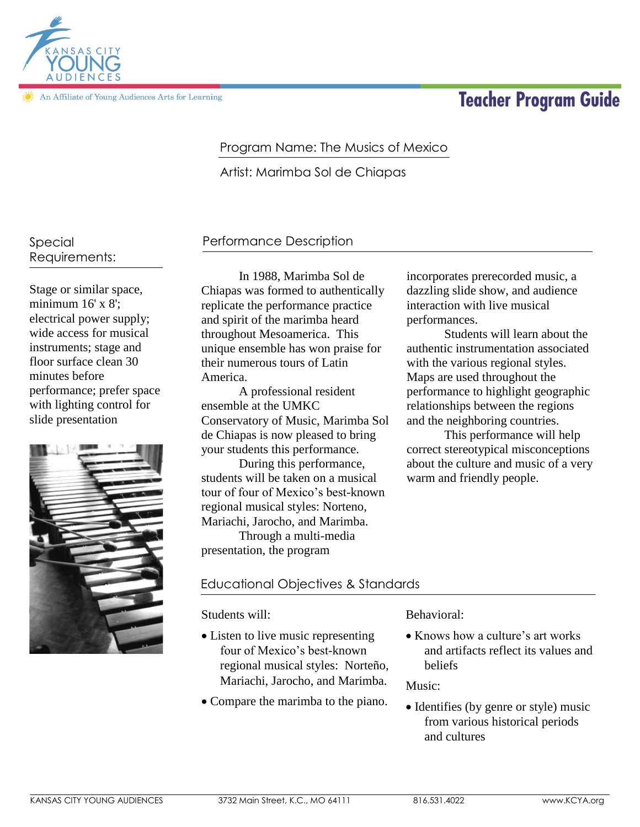# Program Name: The Musics of Mexico

Artist: Marimba Sol de Chiapas

# Performance Description

In 1988, Marimba Sol de Chiapas was formed to authentically replicate the performance practice and spirit of the marimba heard throughout Mesoamerica. This unique ensemble has won praise for their numerous tours of Latin America.

A professional resident ensemble at the UMKC Conservatory of Music, Marimba Sol de Chiapas is now pleased to bring your students this performance.

During this performance, students will be taken on a musical tour of four of Mexico's best-known regional musical styles: Norteno, Mariachi, Jarocho, and Marimba.

Through a multi-media presentation, the program

## Educational Objectives & Standards

Students will:

- Listen to live music representing four of Mexico's best-known regional musical styles: Norteño, Mariachi, Jarocho, and Marimba.
- Compare the marimba to the piano.

Behavioral:

• Knows how a culture's art works and artifacts reflect its values and beliefs

Music:

• Identifies (by genre or style) music from various historical periods and cultures

Special Requirements:

Stage or similar space, minimum 16' x 8'; electrical power supply; wide access for musical instruments; stage and floor surface clean 30 minutes before performance; prefer space with lighting control for slide presentation





An Affiliate of Young Audiences Arts for Learning

**Teacher Program Guide** 

incorporates prerecorded music, a dazzling slide show, and audience interaction with live musical

authentic instrumentation associated with the various regional styles. Maps are used throughout the

performance to highlight geographic relationships between the regions and the neighboring countries.

warm and friendly people.

This performance will help correct stereotypical misconceptions about the culture and music of a very

Students will learn about the

performances.